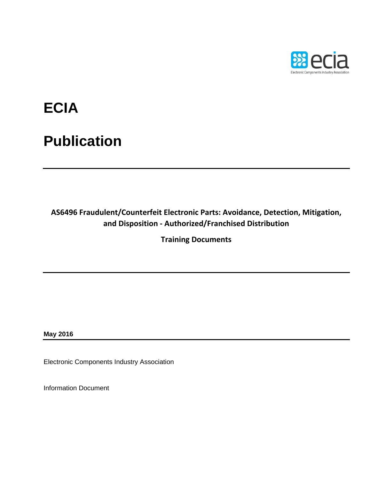

# **ECIA**

# **Publication**

# **AS6496 Fraudulent/Counterfeit Electronic Parts: Avoidance, Detection, Mitigation, and Disposition ‐ Authorized/Franchised Distribution**

**Training Documents**

**May 2016** 

Electronic Components Industry Association

Information Document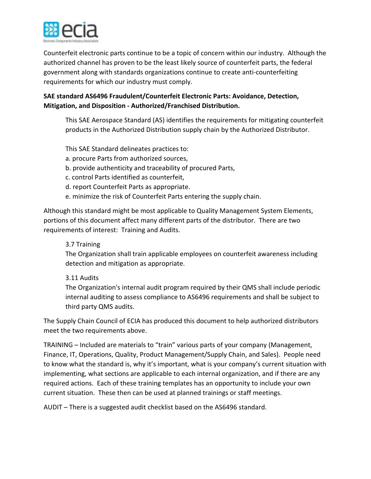

Counterfeit electronic parts continue to be a topic of concern within our industry. Although the authorized channel has proven to be the least likely source of counterfeit parts, the federal government along with standards organizations continue to create anti‐counterfeiting requirements for which our industry must comply.

## **SAE standard AS6496 Fraudulent/Counterfeit Electronic Parts: Avoidance, Detection, Mitigation, and Disposition ‐ Authorized/Franchised Distribution.**

This SAE Aerospace Standard (AS) identifies the requirements for mitigating counterfeit products in the Authorized Distribution supply chain by the Authorized Distributor.

## This SAE Standard delineates practices to:

- a. procure Parts from authorized sources,
- b. provide authenticity and traceability of procured Parts,
- c. control Parts identified as counterfeit,
- d. report Counterfeit Parts as appropriate.
- e. minimize the risk of Counterfeit Parts entering the supply chain.

Although this standard might be most applicable to Quality Management System Elements, portions of this document affect many different parts of the distributor. There are two requirements of interest: Training and Audits.

### 3.7 Training

The Organization shall train applicable employees on counterfeit awareness including detection and mitigation as appropriate.

### 3.11 Audits

The Organization's internal audit program required by their QMS shall include periodic internal auditing to assess compliance to AS6496 requirements and shall be subject to third party QMS audits.

The Supply Chain Council of ECIA has produced this document to help authorized distributors meet the two requirements above.

TRAINING – Included are materials to "train" various parts of your company (Management, Finance, IT, Operations, Quality, Product Management/Supply Chain, and Sales). People need to know what the standard is, why it's important, what is your company's current situation with implementing, what sections are applicable to each internal organization, and if there are any required actions. Each of these training templates has an opportunity to include your own current situation. These then can be used at planned trainings or staff meetings.

AUDIT – There is a suggested audit checklist based on the AS6496 standard.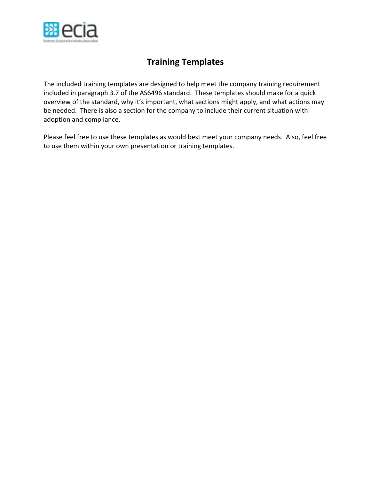

# **Training Templates**

The included training templates are designed to help meet the company training requirement included in paragraph 3.7 of the AS6496 standard. These templates should make for a quick overview of the standard, why it's important, what sections might apply, and what actions may be needed. There is also a section for the company to include their current situation with adoption and compliance.

Please feel free to use these templates as would best meet your company needs. Also, feel free to use them within your own presentation or training templates.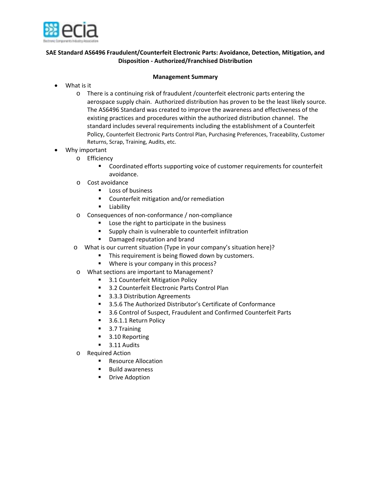

#### **Management Summary**

- What is it
	- o There is a continuing risk of fraudulent /counterfeit electronic parts entering the aerospace supply chain. Authorized distribution has proven to be the least likely source. The AS6496 Standard was created to improve the awareness and effectiveness of the existing practices and procedures within the authorized distribution channel. The standard includes several requirements including the establishment of a Counterfeit Policy, Counterfeit Electronic Parts Control Plan, Purchasing Preferences, Traceability, Customer Returns, Scrap, Training, Audits, etc.
- Why important
	- o Efficiency
		- **EXECOORDINATE:** Coordinated efforts supporting voice of customer requirements for counterfeit avoidance.
	- o Cost avoidance
		- **Loss of business**
		- **E** Counterfeit mitigation and/or remediation
		- **E** Liability
	- o Consequences of non‐conformance / non‐compliance
		- **EXEC** Lose the right to participate in the business
		- Supply chain is vulnerable to counterfeit infiltration
		- **•** Damaged reputation and brand
	- o What is our current situation (Type in your company's situation here)?
		- **This requirement is being flowed down by customers.**
		- **Where is your company in this process?**
	- o What sections are important to Management?
		- 3.1 Counterfeit Mitigation Policy
		- 3.2 Counterfeit Electronic Parts Control Plan
		- 3.3.3 Distribution Agreements
		- 3.5.6 The Authorized Distributor's Certificate of Conformance
		- 3.6 Control of Suspect, Fraudulent and Confirmed Counterfeit Parts
		- 3.6.1.1 Return Policy
		- **3.7 Training**
		- 3.10 Reporting
		- $\blacksquare$  3.11 Audits
	- o Required Action
		- **Resource Allocation**
		- **Build awareness**
		- **•** Drive Adoption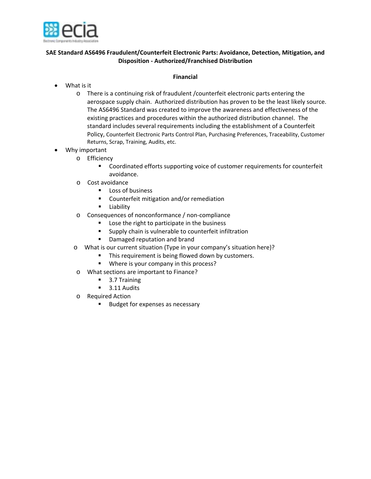

#### **Financial**

- What is it
	- o There is a continuing risk of fraudulent /counterfeit electronic parts entering the aerospace supply chain. Authorized distribution has proven to be the least likely source. The AS6496 Standard was created to improve the awareness and effectiveness of the existing practices and procedures within the authorized distribution channel. The standard includes several requirements including the establishment of a Counterfeit Policy, Counterfeit Electronic Parts Control Plan, Purchasing Preferences, Traceability, Customer Returns, Scrap, Training, Audits, etc.
- Why important
	- o Efficiency
		- **EXECOORDINATE:** Coordinated efforts supporting voice of customer requirements for counterfeit avoidance.
	- o Cost avoidance
		- **Loss of business**
		- Counterfeit mitigation and/or remediation
		- **E** Liability
	- o Consequences of nonconformance / non‐compliance
		- **EXEC** Lose the right to participate in the business
		- **Supply chain is vulnerable to counterfeit infiltration**
		- **•** Damaged reputation and brand
	- o What is our current situation (Type in your company's situation here)?
		- **This requirement is being flowed down by customers.**
		- **Where is your company in this process?**
	- o What sections are important to Finance?
		- 3.7 Training
		- **3.11 Audits**
	- o Required Action
		- Budget for expenses as necessary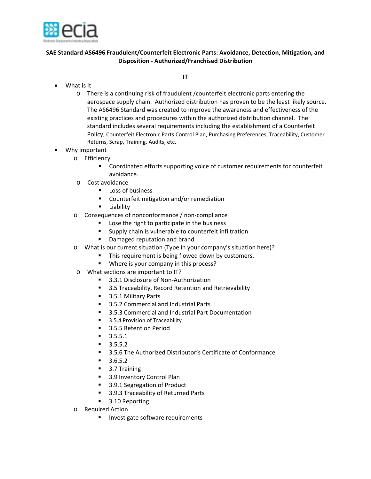

**IT**

- What is it
	- o There is a continuing risk of fraudulent /counterfeit electronic parts entering the aerospace supply chain. Authorized distribution has proven to be the least likely source. The AS6496 Standard was created to improve the awareness and effectiveness of the existing practices and procedures within the authorized distribution channel. The standard includes several requirements including the establishment of a Counterfeit Policy, Counterfeit Electronic Parts Control Plan, Purchasing Preferences, Traceability, Customer Returns, Scrap, Training, Audits, etc.
- Why important
	- o Efficiency
		- **EXECOORDINATE:** Coordinated efforts supporting voice of customer requirements for counterfeit avoidance.
		- o Cost avoidance
			- **Loss of business**
			- **E** Counterfeit mitigation and/or remediation
			- **E** Liability
	- o Consequences of nonconformance / non‐compliance
		- **EXEC** Lose the right to participate in the business
		- Supply chain is vulnerable to counterfeit infiltration
		- **•** Damaged reputation and brand
	- o What is our current situation (Type in your company's situation here)?
		- **This requirement is being flowed down by customers.**
		- **Where is your company in this process?**
	- o What sections are important to IT?
		- 3.3.1 Disclosure of Non-Authorization
		- 3.5 Traceability, Record Retention and Retrievability
		- 3.5.1 Military Parts
		- 3.5.2 Commercial and Industrial Parts
		- 3.5.3 Commercial and Industrial Part Documentation
		- 3.5.4 Provision of Traceability
		- 3.5.5 Retention Period
		- $-3.5.5.1$
		- $-3.5.5.2$
		- 3.5.6 The Authorized Distributor's Certificate of Conformance
		- $-3.6.5.2$
		- 3.7 Training
		- 3.9 Inventory Control Plan
		- 3.9.1 Segregation of Product
		- 3.9.3 Traceability of Returned Parts
		- 3.10 Reporting
	- o Required Action
		- **Investigate software requirements**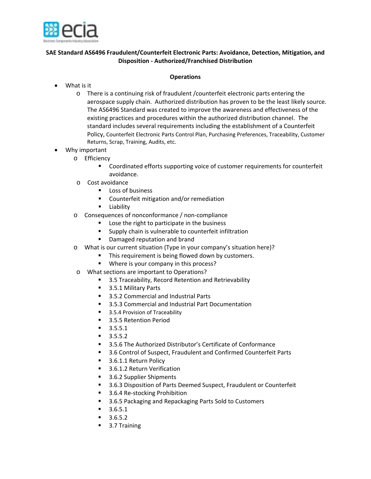

#### **Operations**

- What is it
	- o There is a continuing risk of fraudulent /counterfeit electronic parts entering the aerospace supply chain. Authorized distribution has proven to be the least likely source. The AS6496 Standard was created to improve the awareness and effectiveness of the existing practices and procedures within the authorized distribution channel. The standard includes several requirements including the establishment of a Counterfeit Policy, Counterfeit Electronic Parts Control Plan, Purchasing Preferences, Traceability, Customer Returns, Scrap, Training, Audits, etc.
- Why important
	- o Efficiency
		- **EXECOORDINATE:** Coordinated efforts supporting voice of customer requirements for counterfeit avoidance.
		- o Cost avoidance
			- **Loss of business**
			- **E** Counterfeit mitigation and/or remediation
			- **E** Liability
	- o Consequences of nonconformance / non‐compliance
		- **EXEC** Lose the right to participate in the business
		- Supply chain is vulnerable to counterfeit infiltration
		- **•** Damaged reputation and brand
	- o What is our current situation (Type in your company's situation here)?
		- **This requirement is being flowed down by customers.**
		- **Where is your company in this process?**
	- o What sections are important to Operations?
		- 3.5 Traceability, Record Retention and Retrievability
		- 3.5.1 Military Parts
		- 3.5.2 Commercial and Industrial Parts
		- 3.5.3 Commercial and Industrial Part Documentation
		- 3.5.4 Provision of Traceability
		- 3.5.5 Retention Period
		- $-3.5.5.1$
		- $-3.5.5.2$
		- 3.5.6 The Authorized Distributor's Certificate of Conformance
		- 3.6 Control of Suspect, Fraudulent and Confirmed Counterfeit Parts
		- 3.6.1.1 Return Policy
		- 3.6.1.2 Return Verification
		- 3.6.2 Supplier Shipments
		- 3.6.3 Disposition of Parts Deemed Suspect, Fraudulent or Counterfeit
		- 3.6.4 Re-stocking Prohibition
		- 3.6.5 Packaging and Repackaging Parts Sold to Customers
		- $-3.6.5.1$
		- $-3.6.5.2$
		- 3.7 Training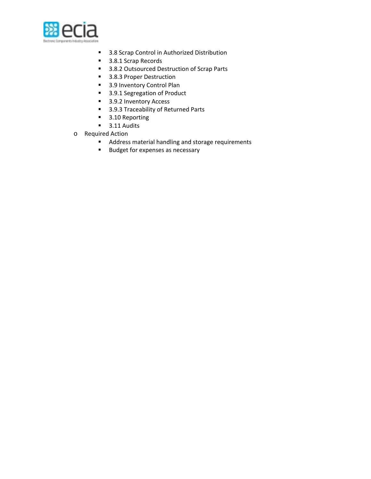

- 3.8 Scrap Control in Authorized Distribution
- 3.8.1 Scrap Records
- 3.8.2 Outsourced Destruction of Scrap Parts
- 3.8.3 Proper Destruction
- 3.9 Inventory Control Plan
- 3.9.1 Segregation of Product
- 3.9.2 Inventory Access
- 3.9.3 Traceability of Returned Parts
- 3.10 Reporting
- **3.11 Audits**
- o Required Action
	- Address material handling and storage requirements
	- **Budget for expenses as necessary**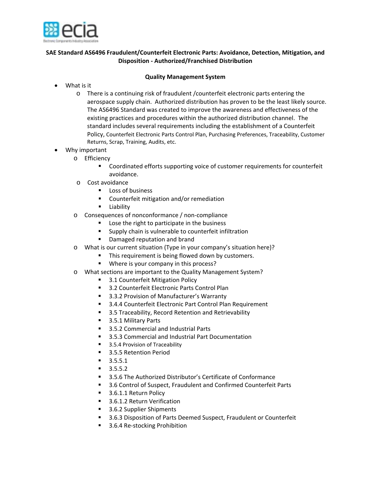

#### **Quality Management System**

- What is it
	- o There is a continuing risk of fraudulent /counterfeit electronic parts entering the aerospace supply chain. Authorized distribution has proven to be the least likely source. The AS6496 Standard was created to improve the awareness and effectiveness of the existing practices and procedures within the authorized distribution channel. The standard includes several requirements including the establishment of a Counterfeit Policy, Counterfeit Electronic Parts Control Plan, Purchasing Preferences, Traceability, Customer Returns, Scrap, Training, Audits, etc.
- Why important
	- o Efficiency
		- **EXECOORDINATE:** Coordinated efforts supporting voice of customer requirements for counterfeit avoidance.
		- o Cost avoidance
			- **Loss of business**
			- **E** Counterfeit mitigation and/or remediation
			- **E** Liability
	- o Consequences of nonconformance / non‐compliance
		- **EXEC** Lose the right to participate in the business
		- Supply chain is vulnerable to counterfeit infiltration
		- **•** Damaged reputation and brand
	- o What is our current situation (Type in your company's situation here)?
		- **This requirement is being flowed down by customers.**
		- **Where is your company in this process?**
	- o What sections are important to the Quality Management System?
		- 3.1 Counterfeit Mitigation Policy
		- 3.2 Counterfeit Electronic Parts Control Plan
		- 3.3.2 Provision of Manufacturer's Warranty
		- 3.4.4 Counterfeit Electronic Part Control Plan Requirement
		- 3.5 Traceability, Record Retention and Retrievability
		- 3.5.1 Military Parts
		- 3.5.2 Commercial and Industrial Parts
		- 3.5.3 Commercial and Industrial Part Documentation
		- 3.5.4 Provision of Traceability
		- 3.5.5 Retention Period
		- $-3.5.5.1$
		- $-3.5.5.2$
		- 3.5.6 The Authorized Distributor's Certificate of Conformance
		- 3.6 Control of Suspect, Fraudulent and Confirmed Counterfeit Parts
		- 3.6.1.1 Return Policy
		- 3.6.1.2 Return Verification
		- 3.6.2 Supplier Shipments
		- 3.6.3 Disposition of Parts Deemed Suspect, Fraudulent or Counterfeit
		- 3.6.4 Re-stocking Prohibition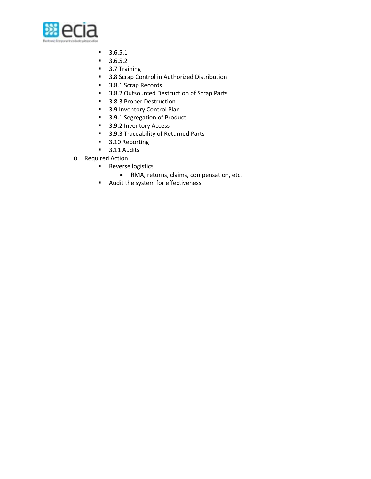

- 3.6.5.1
- $-3.6.5.2$
- 3.7 Training
- **3.8 Scrap Control in Authorized Distribution**
- 3.8.1 Scrap Records
- 3.8.2 Outsourced Destruction of Scrap Parts
- 3.8.3 Proper Destruction
- 3.9 Inventory Control Plan
- 3.9.1 Segregation of Product
- 3.9.2 Inventory Access
- 3.9.3 Traceability of Returned Parts
- 3.10 Reporting
- **3.11 Audits**
- o Required Action
	- **Reverse logistics** 
		- RMA, returns, claims, compensation, etc.
	- Audit the system for effectiveness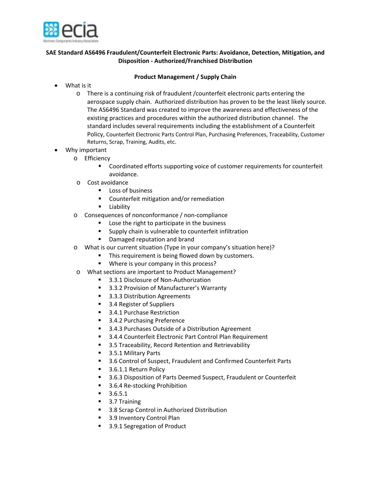

#### **Product Management / Supply Chain**

- What is it
	- o There is a continuing risk of fraudulent /counterfeit electronic parts entering the aerospace supply chain. Authorized distribution has proven to be the least likely source. The AS6496 Standard was created to improve the awareness and effectiveness of the existing practices and procedures within the authorized distribution channel. The standard includes several requirements including the establishment of a Counterfeit Policy, Counterfeit Electronic Parts Control Plan, Purchasing Preferences, Traceability, Customer Returns, Scrap, Training, Audits, etc.
- Why important
	- o Efficiency
		- **EXECOORDINATE:** Coordinated efforts supporting voice of customer requirements for counterfeit avoidance.
		- o Cost avoidance
			- **Loss of business**
			- **E** Counterfeit mitigation and/or remediation
			- **E** Liability
	- o Consequences of nonconformance / non‐compliance
		- **EXEC** Lose the right to participate in the business
		- **Supply chain is vulnerable to counterfeit infiltration**
		- **•** Damaged reputation and brand
	- o What is our current situation (Type in your company's situation here)?
		- **This requirement is being flowed down by customers.**
		- **Where is your company in this process?**
	- o What sections are important to Product Management?
		- 3.3.1 Disclosure of Non-Authorization
		- 3.3.2 Provision of Manufacturer's Warranty
		- 3.3.3 Distribution Agreements
		- 3.4 Register of Suppliers
		- 3.4.1 Purchase Restriction
		- 3.4.2 Purchasing Preference
		- 3.4.3 Purchases Outside of a Distribution Agreement
		- 3.4.4 Counterfeit Electronic Part Control Plan Requirement
		- 3.5 Traceability, Record Retention and Retrievability
		- 3.5.1 Military Parts
		- 3.6 Control of Suspect, Fraudulent and Confirmed Counterfeit Parts
		- 3.6.1.1 Return Policy
		- 3.6.3 Disposition of Parts Deemed Suspect, Fraudulent or Counterfeit
		- 3.6.4 Re-stocking Prohibition
		- 3.6.5.1
		- 3.7 Training
		- 3.8 Scrap Control in Authorized Distribution
		- 3.9 Inventory Control Plan
		- 3.9.1 Segregation of Product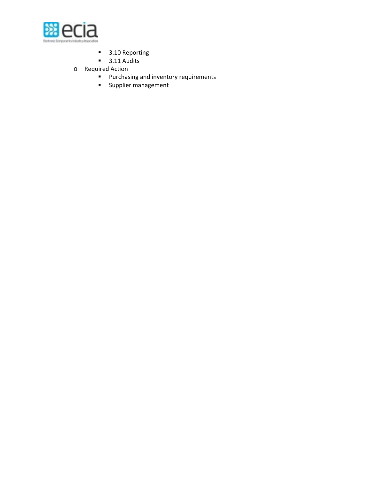

- 3.10 Reporting
- $\blacksquare$  3.11 Audits
- o Required Action
	- **Purchasing and inventory requirements**
	- **Supplier management**